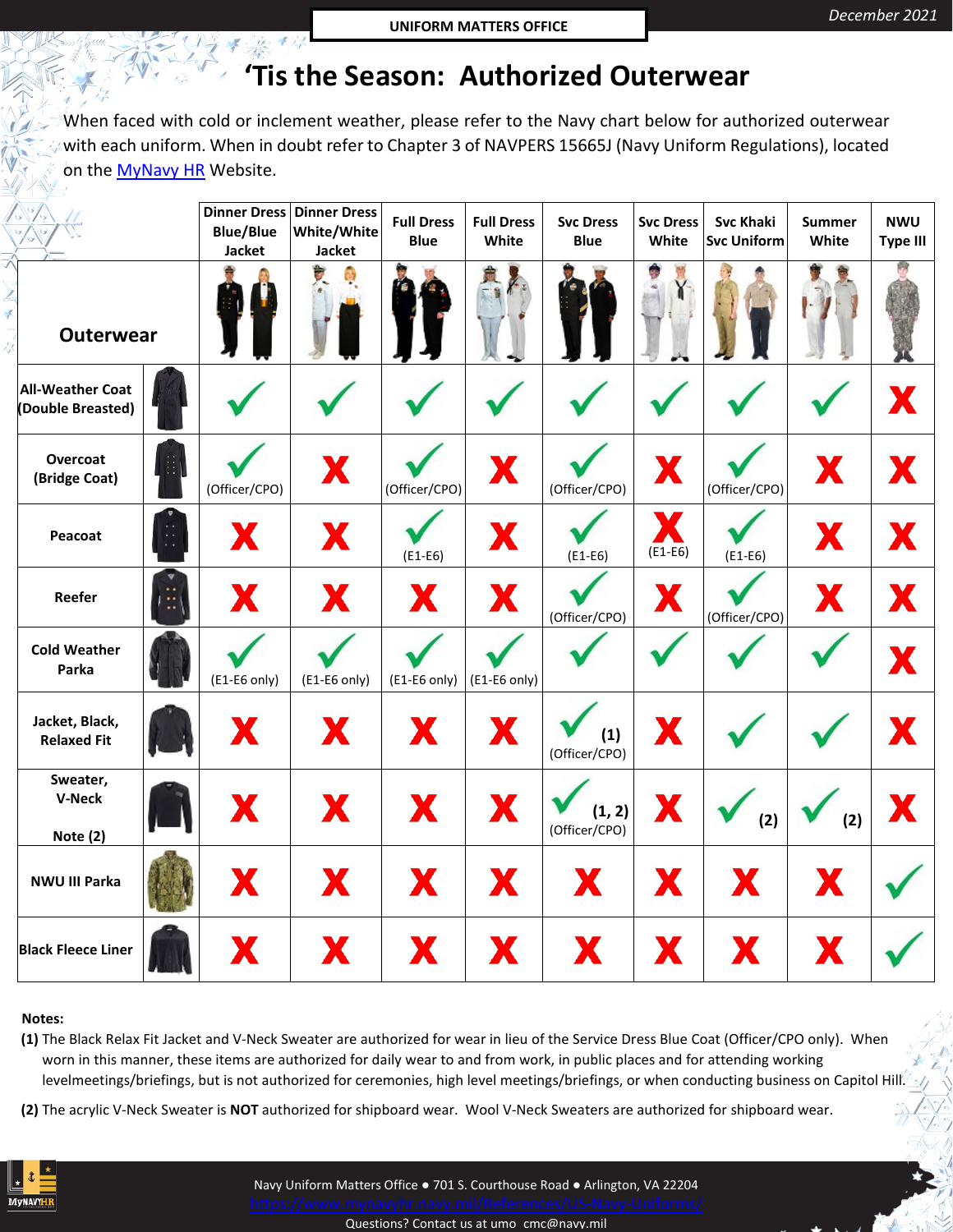## **'Tis the Season: Authorized Outerwear**

When faced with cold or inclement weather, please refer to the Navy chart below for authorized outerwear with each uniform. When in doubt refer to Chapter 3 of NAVPERS 15665J (Navy Uniform Regulations), located on the [MyNavy HR](https://www.mynavyhr.navy.mil/References/US-Navy-Uniforms/) Website.

|                                              |                     | <b>Dinner Dress</b><br><b>Blue/Blue</b><br><b>Jacket</b> | <b>Dinner Dress</b><br>White/White<br><b>Jacket</b> | <b>Full Dress</b><br><b>Blue</b> | <b>Full Dress</b><br>White | <b>Svc Dress</b><br><b>Blue</b> | <b>Svc Dress</b><br>White | <b>Svc Khaki</b><br><b>Svc Uniform</b> | Summer<br>White | <b>NWU</b><br><b>Type III</b> |
|----------------------------------------------|---------------------|----------------------------------------------------------|-----------------------------------------------------|----------------------------------|----------------------------|---------------------------------|---------------------------|----------------------------------------|-----------------|-------------------------------|
| <b>Outerwear</b>                             |                     |                                                          | Ù.<br>O,                                            |                                  | ÷                          |                                 |                           |                                        |                 |                               |
| <b>All-Weather Coat</b><br>(Double Breasted) |                     |                                                          |                                                     |                                  |                            |                                 |                           |                                        |                 | X                             |
| Overcoat<br>(Bridge Coat)                    | fill                | (Officer/CPO)                                            | X                                                   | (Officer/CPO)                    | X                          | (Officer/CPO)                   | X                         | (Officer/CPO)                          | X               | X                             |
| Peacoat                                      | ÷.                  | X                                                        | X                                                   | $(E1-E6)$                        | X                          | $(E1-E6)$                       | Ж<br>$(E1-E6)$            | $(E1-E6)$                              | X               | X                             |
| Reefer                                       | $\ddot{\mathbb{C}}$ | X                                                        | X                                                   | X                                | X                          | (Officer/CPO)                   | X                         | (Officer/CPO)                          | X               | X                             |
| <b>Cold Weather</b><br>Parka                 |                     | $(E1-E6 \text{ only})$                                   | $(E1-E6 \text{ only})$                              | (E1-E6 only)                     | (E1-E6 only)               |                                 |                           |                                        |                 | X                             |
| Jacket, Black,<br><b>Relaxed Fit</b>         |                     | X                                                        | X                                                   | X                                | X                          | (1)<br>(Officer/CPO)            | X                         |                                        |                 | X                             |
| Sweater,<br><b>V-Neck</b><br>Note (2)        |                     | X                                                        | X                                                   | X                                | X                          | (1, 2)<br>(Officer/CPO)         | X                         | (2)                                    | (2)             | X                             |
| NWU III Parka                                |                     | X                                                        | X                                                   | X                                | X                          | X                               | X                         | X                                      | X               |                               |
| <b>Black Fleece Liner</b>                    |                     | X                                                        | X                                                   | X                                | X                          | X                               | X                         | X                                      | X               |                               |

## **Notes:**

 $\overline{\mathbf{r}}$ 

₹

☆

**(1)** The Black Relax Fit Jacket and V-Neck Sweater are authorized for wear in lieu of the Service Dress Blue Coat (Officer/CPO only). When worn in this manner, these items are authorized for daily wear to and from work, in public places and for attending working levelmeetings/briefings, but is not authorized for ceremonies, high level meetings/briefings, or when conducting business on Capitol Hill.

**(2)** The acrylic V-Neck Sweater is **NOT** authorized for shipboard wear. Wool V-Neck Sweaters are authorized for shipboard wear.



Navy Uniform Matters Office ● 701 S. Courthouse Road ● Arlington, VA 22204 Questions? Contact us a[t umo cmc@navy.mil](mailto:umo_cmc@navy.mil)